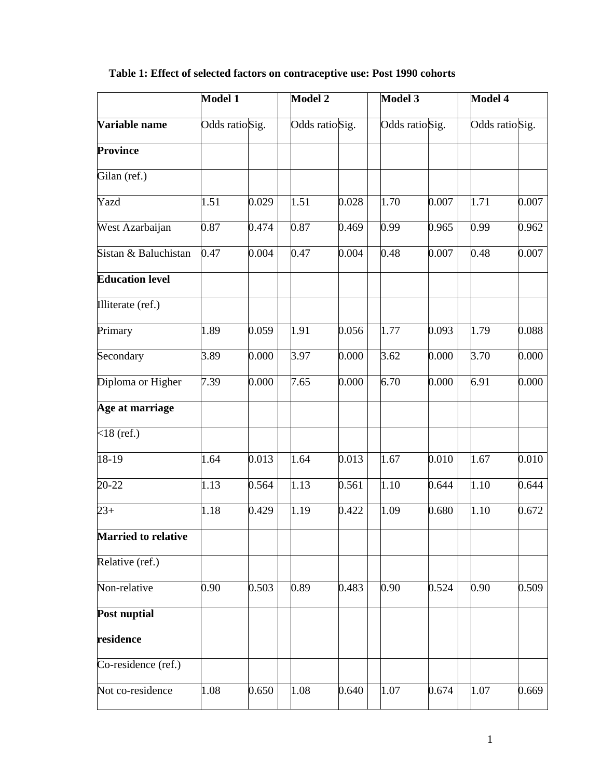|                            | Model 1        |       | <b>Model 2</b> |       | Model 3        |       | Model 4        |       |
|----------------------------|----------------|-------|----------------|-------|----------------|-------|----------------|-------|
| Variable name              | Odds ratioSig. |       | Odds ratioSig. |       | Odds ratioSig. |       | Odds ratioSig. |       |
| <b>Province</b>            |                |       |                |       |                |       |                |       |
| Gilan (ref.)               |                |       |                |       |                |       |                |       |
| Yazd                       | 1.51           | 0.029 | 1.51           | 0.028 | 1.70           | 0.007 | 1.71           | 0.007 |
| West Azarbaijan            | 0.87           | 0.474 | 0.87           | 0.469 | 0.99           | 0.965 | 0.99           | 0.962 |
| Sistan & Baluchistan       | 0.47           | 0.004 | 0.47           | 0.004 | 0.48           | 0.007 | 0.48           | 0.007 |
| <b>Education level</b>     |                |       |                |       |                |       |                |       |
| Illiterate (ref.)          |                |       |                |       |                |       |                |       |
| Primary                    | 1.89           | 0.059 | 1.91           | 0.056 | 1.77           | 0.093 | 1.79           | 0.088 |
| Secondary                  | 3.89           | 0.000 | 3.97           | 0.000 | 3.62           | 0.000 | 3.70           | 0.000 |
| Diploma or Higher          | 7.39           | 0.000 | 7.65           | 0.000 | 6.70           | 0.000 | 6.91           | 0.000 |
| Age at marriage            |                |       |                |       |                |       |                |       |
| $<$ 18 (ref.)              |                |       |                |       |                |       |                |       |
| 18-19                      | 1.64           | 0.013 | 1.64           | 0.013 | 1.67           | 0.010 | 1.67           | 0.010 |
| 20-22                      | 1.13           | 0.564 | 1.13           | 0.561 | 1.10           | 0.644 | 1.10           | 0.644 |
| $23+$                      | 1.18           | 0.429 | 1.19           | 0.422 | 1.09           | 0.680 | 1.10           | 0.672 |
| <b>Married to relative</b> |                |       |                |       |                |       |                |       |
| Relative (ref.)            |                |       |                |       |                |       |                |       |
| Non-relative               | 0.90           | 0.503 | 0.89           | 0.483 | 0.90           | 0.524 | 0.90           | 0.509 |
| <b>Post nuptial</b>        |                |       |                |       |                |       |                |       |
| residence                  |                |       |                |       |                |       |                |       |
| Co-residence (ref.)        |                |       |                |       |                |       |                |       |
| Not co-residence           | 1.08           | 0.650 | 1.08           | 0.640 | 1.07           | 0.674 | 1.07           | 0.669 |

## **Table 1: Effect of selected factors on contraceptive use: Post 1990 cohorts**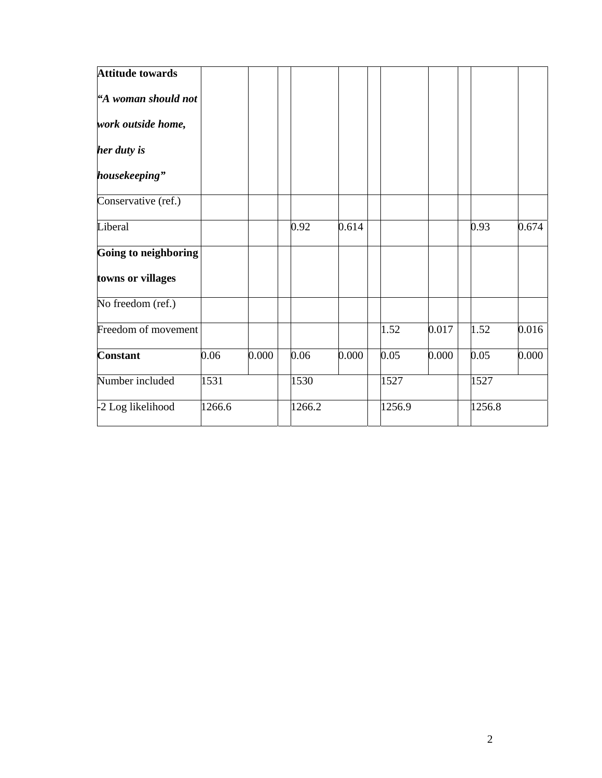| <b>Attitude towards</b> |        |       |        |       |        |       |        |       |
|-------------------------|--------|-------|--------|-------|--------|-------|--------|-------|
| "A woman should not     |        |       |        |       |        |       |        |       |
| work outside home,      |        |       |        |       |        |       |        |       |
| her duty is             |        |       |        |       |        |       |        |       |
| housekeeping"           |        |       |        |       |        |       |        |       |
| Conservative (ref.)     |        |       |        |       |        |       |        |       |
| Liberal                 |        |       | 0.92   | 0.614 |        |       | 0.93   | 0.674 |
| Going to neighboring    |        |       |        |       |        |       |        |       |
| towns or villages       |        |       |        |       |        |       |        |       |
| No freedom (ref.)       |        |       |        |       |        |       |        |       |
| Freedom of movement     |        |       |        |       | 1.52   | 0.017 | 1.52   | 0.016 |
| <b>Constant</b>         | 0.06   | 0.000 | 0.06   | 0.000 | 0.05   | 0.000 | 0.05   | 0.000 |
| Number included         | 1531   |       | 1530   |       | 1527   |       | 1527   |       |
| -2 Log likelihood       | 1266.6 |       | 1266.2 |       | 1256.9 |       | 1256.8 |       |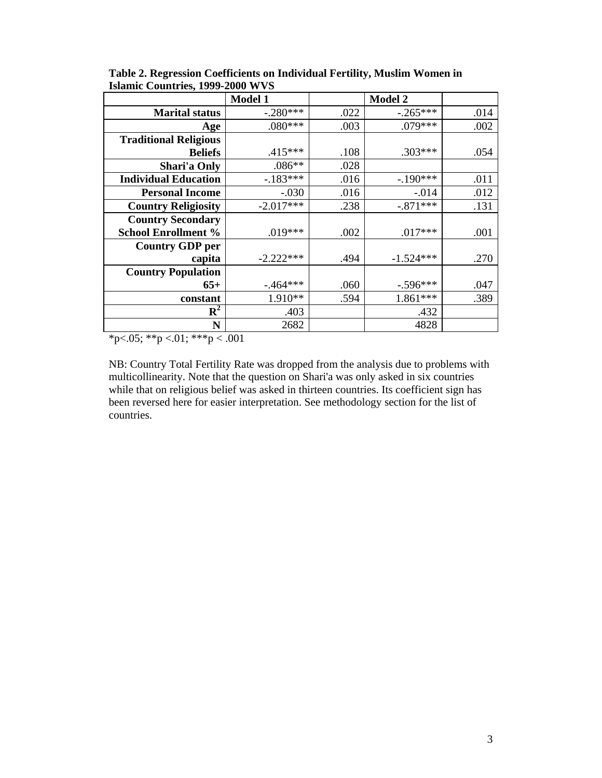|                              | <b>Model 1</b> |      | <b>Model 2</b> |      |
|------------------------------|----------------|------|----------------|------|
| <b>Marital status</b>        | $-.280***$     | .022 | $-.265***$     | .014 |
| Age                          | $.080***$      | .003 | $.079***$      | .002 |
| <b>Traditional Religious</b> |                |      |                |      |
| <b>Beliefs</b>               | $.415***$      | .108 | $.303***$      | .054 |
| Shari'a Only                 | $.086**$       | .028 |                |      |
| <b>Individual Education</b>  | $-.183***$     | .016 | $-.190***$     | .011 |
| <b>Personal Income</b>       | $-.030$        | .016 | $-.014$        | .012 |
| <b>Country Religiosity</b>   | $-2.017***$    | .238 | $-.871***$     | .131 |
| <b>Country Secondary</b>     |                |      |                |      |
| <b>School Enrollment %</b>   | $.019***$      | .002 | $.017***$      | .001 |
| <b>Country GDP per</b>       |                |      |                |      |
| capita                       | $-2.222***$    | .494 | $-1.524***$    | .270 |
| <b>Country Population</b>    |                |      |                |      |
| $65+$                        | $-464***$      | .060 | $-.596***$     | .047 |
| constant                     | 1.910**        | .594 | 1.861***       | .389 |
| $\mathbf{R}^2$               | .403           |      | .432           |      |
| N                            | 2682           |      | 4828           |      |

**Table 2. Regression Coefficients on Individual Fertility, Muslim Women in Islamic Countries, 1999-2000 WVS**

\*p<.05; \*\*p <.01; \*\*\*p < .001

NB: Country Total Fertility Rate was dropped from the analysis due to problems with multicollinearity. Note that the question on Shari'a was only asked in six countries while that on religious belief was asked in thirteen countries. Its coefficient sign has been reversed here for easier interpretation. See methodology section for the list of countries.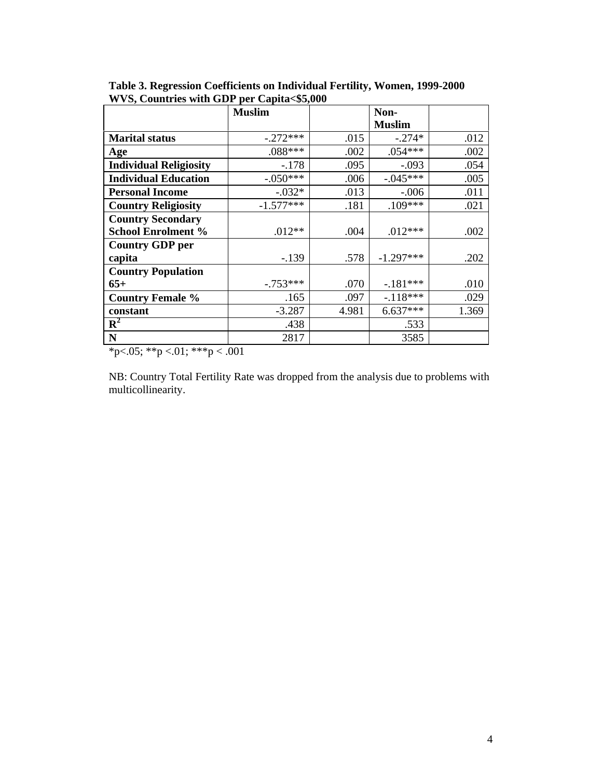|                               | <b>Muslim</b> |       | Non-          |       |
|-------------------------------|---------------|-------|---------------|-------|
|                               |               |       | <b>Muslim</b> |       |
| <b>Marital status</b>         | $-.272***$    | .015  | $-.274*$      | .012  |
| Age                           | $.088***$     | .002  | $.054***$     | .002  |
| <b>Individual Religiosity</b> | $-.178$       | .095  | $-.093$       | .054  |
| <b>Individual Education</b>   | $-.050***$    | .006  | $-.045***$    | .005  |
| <b>Personal Income</b>        | $-0.032*$     | .013  | $-.006$       | .011  |
| <b>Country Religiosity</b>    | $-1.577***$   | .181  | $.109***$     | .021  |
| <b>Country Secondary</b>      |               |       |               |       |
| <b>School Enrolment %</b>     | $.012**$      | .004  | $.012***$     | .002  |
| <b>Country GDP per</b>        |               |       |               |       |
| capita                        | $-.139$       | .578  | $-1.297***$   | .202  |
| <b>Country Population</b>     |               |       |               |       |
| $65+$                         | $-.753***$    | .070  | $-.181***$    | .010  |
| <b>Country Female %</b>       | .165          | .097  | $-.118***$    | .029  |
| constant                      | $-3.287$      | 4.981 | $6.637***$    | 1.369 |
| $\mathbf{R}^2$                | .438          |       | .533          |       |
| $\mathbf N$                   | 2817          |       | 3585          |       |

**Table 3. Regression Coefficients on Individual Fertility, Women, 1999-2000 WVS, Countries with GDP per Capita<\$5,000**

\*p<.05; \*\*p <.01; \*\*\*p < .001

NB: Country Total Fertility Rate was dropped from the analysis due to problems with multicollinearity.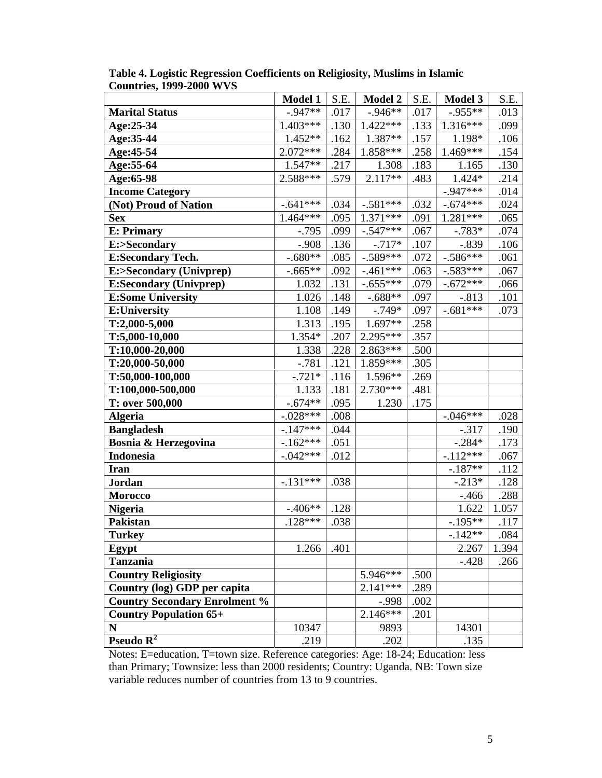|                                      | <b>Model 1</b> | S.E. | <b>Model 2</b> | S.E. | <b>Model 3</b> | S.E.  |
|--------------------------------------|----------------|------|----------------|------|----------------|-------|
| <b>Marital Status</b>                | $-0.947**$     | .017 | $-.946**$      | .017 | $-.955**$      | .013  |
| Age:25-34                            | $1.403***$     | .130 | $1.422***$     | .133 | $1.316***$     | .099  |
| Age:35-44                            | 1.452**        | .162 | 1.387**        | .157 | 1.198*         | .106  |
| Age: 45-54                           | $2.072***$     | .284 | 1.858***       | .258 | 1.469***       | .154  |
| Age: 55-64                           | $1.547**$      | .217 | 1.308          | .183 | 1.165          | .130  |
| Age:65-98                            | $2.588***$     | .579 | $2.117**$      | .483 | 1.424*         | .214  |
| <b>Income Category</b>               |                |      |                |      | $-0.947***$    | .014  |
| (Not) Proud of Nation                | $-.641***$     | .034 | $-.581***$     | .032 | $-.674***$     | .024  |
| <b>Sex</b>                           | 1.464***       | .095 | $1.371***$     | .091 | 1.281***       | .065  |
| <b>E: Primary</b>                    | $-.795$        | .099 | $-.547***$     | .067 | $-.783*$       | .074  |
| E:>Secondary                         | $-.908$        | .136 | $-.717*$       | .107 | $-.839$        | .106  |
| <b>E:Secondary Tech.</b>             | $-.680**$      | .085 | $-.589***$     | .072 | $-.586***$     | .061  |
| E:>Secondary (Univprep)              | $-.665**$      | .092 | $-.461***$     | .063 | $-.583***$     | .067  |
| <b>E:Secondary (Univprep)</b>        | 1.032          | .131 | $-.655***$     | .079 | $-.672***$     | .066  |
| <b>E:Some University</b>             | 1.026          | .148 | $-.688**$      | .097 | $-.813$        | .101  |
| <b>E:University</b>                  | $1.108\,$      | .149 | $-.749*$       | .097 | $-.681***$     | .073  |
| $T:2,000-5,000$                      | 1.313          | .195 | 1.697**        | .258 |                |       |
| T:5,000-10,000                       | 1.354*         | .207 | 2.295***       | .357 |                |       |
| T:10,000-20,000                      | 1.338          | .228 | $2.863***$     | .500 |                |       |
| T:20,000-50,000                      | $-.781$        | .121 | $1.859***$     | .305 |                |       |
| T:50,000-100,000                     | $-.721*$       | .116 | 1.596**        | .269 |                |       |
| T:100,000-500,000                    | 1.133          | .181 | $2.730***$     | .481 |                |       |
| T: over 500,000                      | $-.674**$      | .095 | 1.230          | .175 |                |       |
| <b>Algeria</b>                       | $-.028***$     | .008 |                |      | $-.046***$     | .028  |
| <b>Bangladesh</b>                    | $-.147***$     | .044 |                |      | $-.317$        | .190  |
| Bosnia & Herzegovina                 | $-162***$      | .051 |                |      | $-.284*$       | .173  |
| <b>Indonesia</b>                     | $-.042***$     | .012 |                |      | $-.112***$     | .067  |
| <b>Iran</b>                          |                |      |                |      | $-.187**$      | .112  |
| Jordan                               | $-.131***$     | .038 |                |      | $-.213*$       | .128  |
| <b>Morocco</b>                       |                |      |                |      | $-466$         | .288  |
| <b>Nigeria</b>                       | $-.406**$      | .128 |                |      | 1.622          | 1.057 |
| <b>Pakistan</b>                      | $.128***$      | .038 |                |      | $-.195**$      | .117  |
| <b>Turkey</b>                        |                |      |                |      | $-142**$       | .084  |
| Egypt                                | 1.266          | .401 |                |      | 2.267          | 1.394 |
| <b>Tanzania</b>                      |                |      |                |      | $-.428$        | .266  |
| <b>Country Religiosity</b>           |                |      | 5.946***       | .500 |                |       |
| Country (log) GDP per capita         |                |      | $2.141***$     | .289 |                |       |
| <b>Country Secondary Enrolment %</b> |                |      | $-.998$        | .002 |                |       |
| <b>Country Population 65+</b>        |                |      | $2.146***$     | .201 |                |       |
| ${\bf N}$                            | 10347          |      | 9893           |      | 14301          |       |
| Pseudo $R^2$                         | .219           |      | .202           |      | .135           |       |

|                                 | Table 4. Logistic Regression Coefficients on Religiosity, Muslims in Islamic |
|---------------------------------|------------------------------------------------------------------------------|
| <b>Countries, 1999-2000 WVS</b> |                                                                              |

Notes: E=education, T=town size. Reference categories: Age: 18-24; Education: less than Primary; Townsize: less than 2000 residents; Country: Uganda. NB: Town size variable reduces number of countries from 13 to 9 countries.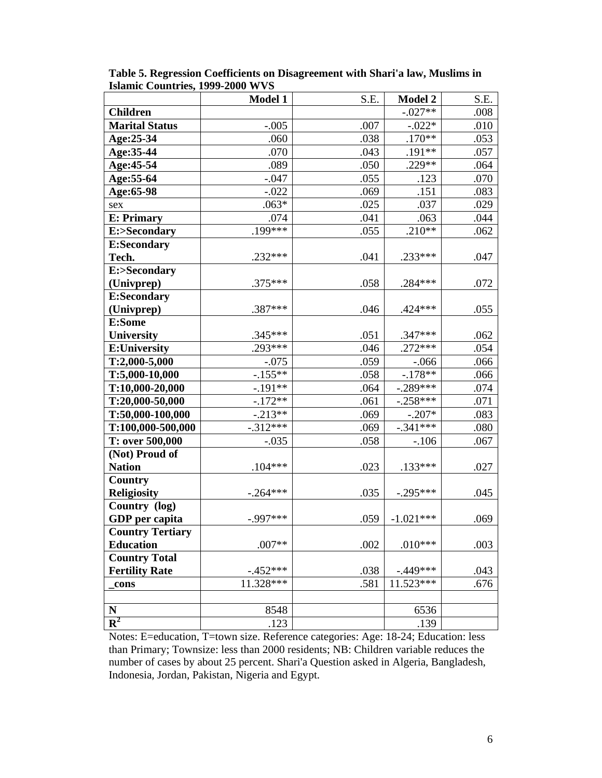|                                 | <b>Model 1</b> | S.E. | <b>Model 2</b> | S.E. |
|---------------------------------|----------------|------|----------------|------|
| <b>Children</b>                 |                |      | $-.027**$      | .008 |
| <b>Marital Status</b>           | $-.005$        | .007 | $-.022*$       | .010 |
| Age:25-34                       | .060           | .038 | $.170**$       | .053 |
| Age:35-44                       | .070           | .043 | $.191**$       | .057 |
| Age: 45-54                      | .089           | .050 | .229**         | .064 |
| Age: 55-64                      | $-.047$        | .055 | .123           | .070 |
| Age:65-98                       | $-.022$        | .069 | .151           | .083 |
| sex                             | $.063*$        | .025 | .037           | .029 |
| <b>E: Primary</b>               | .074           | .041 | .063           | .044 |
| E:>Secondary                    | $.199***$      | .055 | $.210**$       | .062 |
| <b>E:Secondary</b>              |                |      |                |      |
| Tech.                           | $.232***$      | .041 | .233***        | .047 |
| E:>Secondary                    |                |      |                |      |
| (Univprep)                      | $.375***$      | .058 | $.284***$      | .072 |
| <b>E:Secondary</b>              |                |      |                |      |
| (Univprep)                      | .387***        | .046 | $.424***$      | .055 |
| E:Some                          |                |      |                |      |
| <b>University</b>               | $.345***$      | .051 | .347***        | .062 |
| <b>E:University</b>             | $.293***$      | .046 | $.272***$      | .054 |
| $T:2,000-5,000$                 | $-.075$        | .059 | $-0.066$       | .066 |
| T:5,000-10,000                  | $-.155**$      | .058 | $-.178**$      | .066 |
| $T:10,000-20,000$               | $-.191**$      | .064 | $-.289***$     | .074 |
| T:20,000-50,000                 | $-.172**$      | .061 | $-.258***$     | .071 |
| T:50,000-100,000                | $-.213**$      | .069 | $-.207*$       | .083 |
| T:100,000-500,000               | $-.312***$     | .069 | $-.341***$     | .080 |
| T: over 500,000                 | $-.035$        | .058 | $-.106$        | .067 |
| (Not) Proud of<br><b>Nation</b> | $.104***$      | .023 | $.133***$      |      |
| <b>Country</b>                  |                |      |                | .027 |
| <b>Religiosity</b>              | $-.264***$     | .035 | $-.295***$     | .045 |
| Country (log)                   |                |      |                |      |
| GDP per capita                  | $-.997***$     | .059 | $-1.021***$    | .069 |
| <b>Country Tertiary</b>         |                |      |                |      |
| <b>Education</b>                | $.007**$       | .002 | $.010***$      | .003 |
| <b>Country Total</b>            |                |      |                |      |
| <b>Fertility Rate</b>           | $-.452***$     | .038 | $-.449***$     | .043 |
| cons                            | 11.328***      | .581 | $11.523***$    | .676 |
|                                 |                |      |                |      |
| ${\bf N}$                       | 8548           |      | 6536           |      |
| ${\bf R}^2$                     | .123           |      | .139           |      |

**Table 5. Regression Coefficients on Disagreement with Shari'a law, Muslims in Islamic Countries, 1999-2000 WVS**

Notes: E=education, T=town size. Reference categories: Age: 18-24; Education: less than Primary; Townsize: less than 2000 residents; NB: Children variable reduces the number of cases by about 25 percent. Shari'a Question asked in Algeria, Bangladesh, Indonesia, Jordan, Pakistan, Nigeria and Egypt.